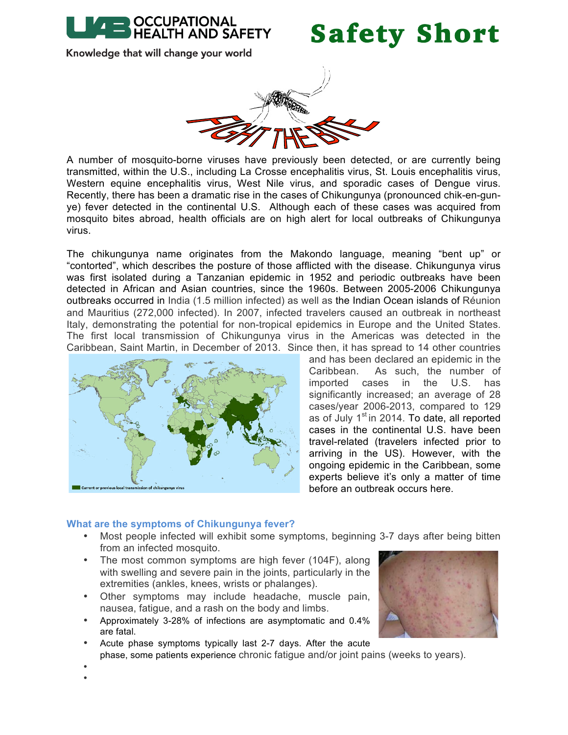

### Safety Short

Knowledge that will change your world



A number of mosquito-borne viruses have previously been detected, or are currently being transmitted, within the U.S., including La Crosse encephalitis virus, St. Louis encephalitis virus, Western equine encephalitis virus, West Nile virus, and sporadic cases of Dengue virus. Recently, there has been a dramatic rise in the cases of Chikungunya (pronounced chik-en-gunye) fever detected in the continental U.S. Although each of these cases was acquired from mosquito bites abroad, health officials are on high alert for local outbreaks of Chikungunya virus.

The chikungunya name originates from the Makondo language, meaning "bent up" or "contorted", which describes the posture of those afflicted with the disease. Chikungunya virus was first isolated during a Tanzanian epidemic in 1952 and periodic outbreaks have been detected in African and Asian countries, since the 1960s. Between 2005-2006 Chikungunya outbreaks occurred in India (1.5 million infected) as well as the Indian Ocean islands of Réunion and Mauritius (272,000 infected). In 2007, infected travelers caused an outbreak in northeast Italy, demonstrating the potential for non-tropical epidemics in Europe and the United States. The first local transmission of Chikungunya virus in the Americas was detected in the Caribbean, Saint Martin, in December of 2013. Since then, it has spread to 14 other countries



and has been declared an epidemic in the Caribbean. As such, the number of imported cases in the U.S. has significantly increased; an average of 28 cases/year 2006-2013, compared to 129 as of July  $1<sup>st</sup>$  in 2014. To date, all reported cases in the continental U.S. have been travel-related (travelers infected prior to arriving in the US). However, with the ongoing epidemic in the Caribbean, some experts believe it's only a matter of time before an outbreak occurs here.

#### **What are the symptoms of Chikungunya fever?**

- Most people infected will exhibit some symptoms, beginning 3-7 days after being bitten from an infected mosquito.
- The most common symptoms are high fever (104F), along with swelling and severe pain in the joints, particularly in the extremities (ankles, knees, wrists or phalanges).
- Other symptoms may include headache, muscle pain, nausea, fatigue, and a rash on the body and limbs.
- Approximately 3-28% of infections are asymptomatic and 0.4% are fatal.
- Acute phase symptoms typically last 2-7 days. After the acute
- phase, some patients experience chronic fatigue and/or joint pains (weeks to years).

• •